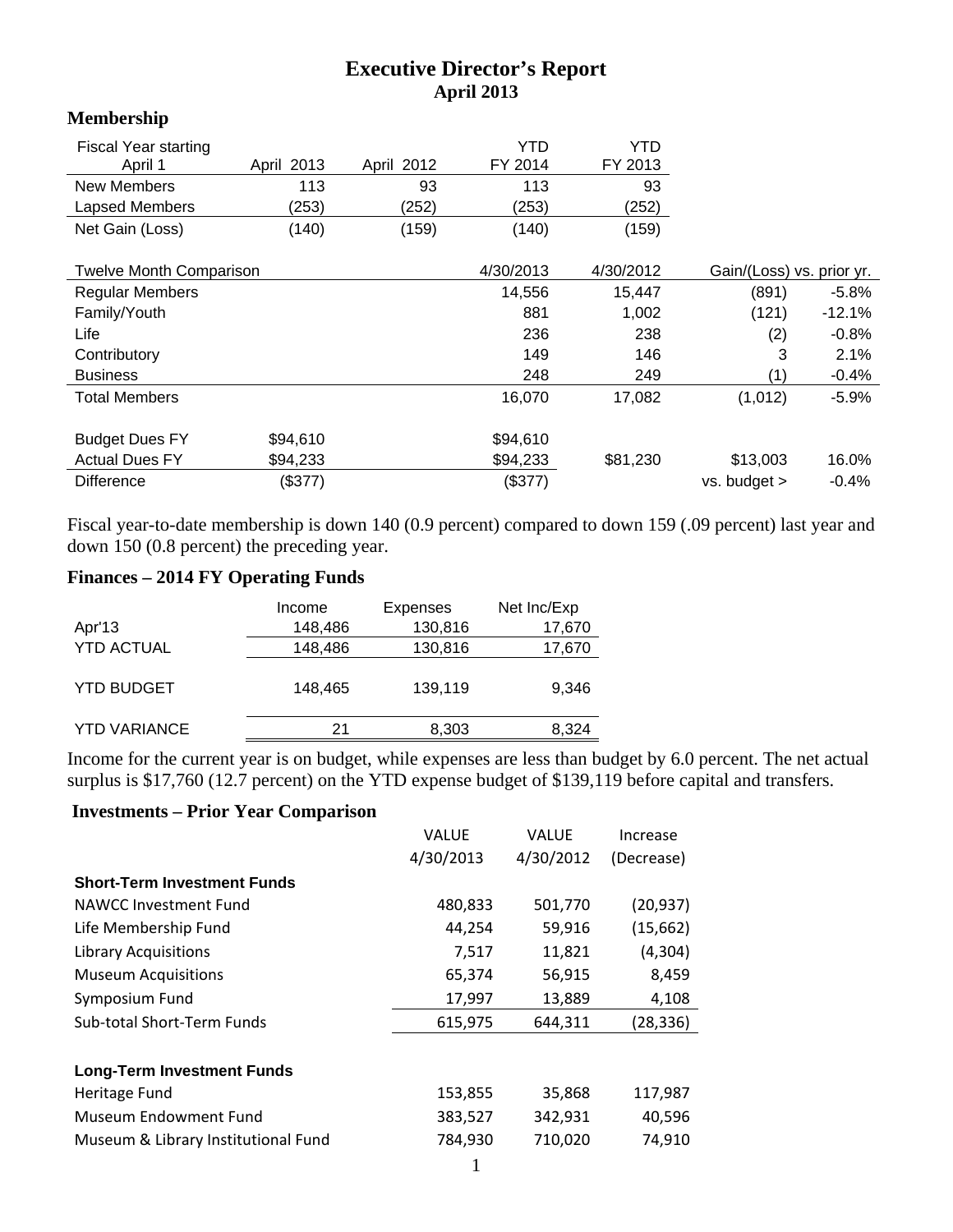## **Executive Director's Report April 2013**

## **Membership**

| <b>Fiscal Year starting</b><br>April 1 | April 2013 | April 2012 | YTD<br>FY 2014 | YTD<br>FY 2013 |                           |          |
|----------------------------------------|------------|------------|----------------|----------------|---------------------------|----------|
| <b>New Members</b>                     | 113        | 93         | 113            | 93             |                           |          |
| Lapsed Members                         | (253)      | (252)      | (253)          | (252)          |                           |          |
| Net Gain (Loss)                        | (140)      | (159)      | (140)          | (159)          |                           |          |
| <b>Twelve Month Comparison</b>         |            |            | 4/30/2013      | 4/30/2012      | Gain/(Loss) vs. prior yr. |          |
|                                        |            |            |                |                |                           |          |
| <b>Regular Members</b>                 |            |            | 14,556         | 15,447         | (891)                     | $-5.8%$  |
| Family/Youth                           |            |            | 881            | 1,002          | (121)                     | $-12.1%$ |
| Life                                   |            |            | 236            | 238            | (2)                       | $-0.8%$  |
| Contributory                           |            |            | 149            | 146            | 3                         | 2.1%     |
| <b>Business</b>                        |            |            | 248            | 249            | (1)                       | $-0.4%$  |
| <b>Total Members</b>                   |            |            | 16,070         | 17,082         | (1,012)                   | $-5.9%$  |
| <b>Budget Dues FY</b>                  | \$94,610   |            | \$94,610       |                |                           |          |
|                                        |            |            |                |                |                           |          |
| <b>Actual Dues FY</b>                  | \$94,233   |            | \$94,233       | \$81,230       | \$13,003                  | 16.0%    |
| <b>Difference</b>                      | (\$377)    |            | (\$377)        |                | $vs.$ budget $>$          | $-0.4%$  |

Fiscal year-to-date membership is down 140 (0.9 percent) compared to down 159 (.09 percent) last year and down 150 (0.8 percent) the preceding year.

## **Finances – 2014 FY Operating Funds**

|                     | Income  | Expenses | Net Inc/Exp |
|---------------------|---------|----------|-------------|
| Apr'13              | 148,486 | 130,816  | 17,670      |
| <b>YTD ACTUAL</b>   | 148,486 | 130,816  | 17,670      |
| <b>YTD BUDGET</b>   | 148,465 | 139,119  | 9.346       |
| <b>YTD VARIANCE</b> | 21      | 8,303    | 8,324       |
|                     |         |          |             |

Income for the current year is on budget, while expenses are less than budget by 6.0 percent. The net actual surplus is \$17,760 (12.7 percent) on the YTD expense budget of \$139,119 before capital and transfers.

## **Investments – Prior Year Comparison**

|                                     | VALUE     | <b>VALUF</b> | Increase   |
|-------------------------------------|-----------|--------------|------------|
|                                     | 4/30/2013 | 4/30/2012    | (Decrease) |
| <b>Short-Term Investment Funds</b>  |           |              |            |
| NAWCC Investment Fund               | 480,833   | 501,770      | (20, 937)  |
| Life Membership Fund                | 44,254    | 59,916       | (15,662)   |
| <b>Library Acquisitions</b>         | 7,517     | 11,821       | (4,304)    |
| <b>Museum Acquisitions</b>          | 65,374    | 56,915       | 8,459      |
| Symposium Fund                      | 17,997    | 13,889       | 4,108      |
| Sub-total Short-Term Funds          | 615,975   | 644,311      | (28, 336)  |
|                                     |           |              |            |
| <b>Long-Term Investment Funds</b>   |           |              |            |
| Heritage Fund                       | 153,855   | 35,868       | 117,987    |
| Museum Endowment Fund               | 383,527   | 342,931      | 40,596     |
| Museum & Library Institutional Fund | 784,930   | 710,020      | 74,910     |
|                                     |           |              |            |